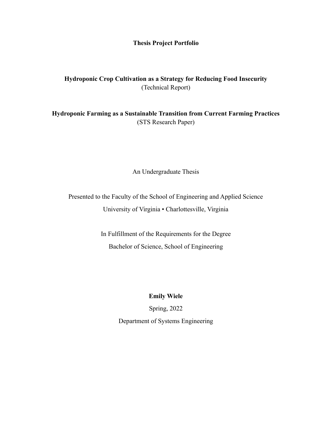## **Thesis Project Portfolio**

## **Hydroponic Crop Cultivation as a Strategy for Reducing Food Insecurity** (Technical Report)

**Hydroponic Farming as a Sustainable Transition from Current Farming Practices** (STS Research Paper)

An Undergraduate Thesis

Presented to the Faculty of the School of Engineering and Applied Science University of Virginia • Charlottesville, Virginia

> In Fulfillment of the Requirements for the Degree Bachelor of Science, School of Engineering

> > **Emily Wiele**

Spring, 2022 Department of Systems Engineering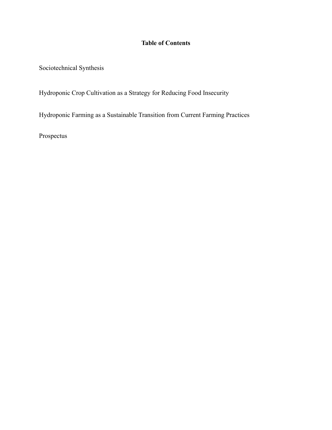## **Table of Contents**

Sociotechnical Synthesis

Hydroponic Crop Cultivation as a Strategy for Reducing Food Insecurity

Hydroponic Farming as a Sustainable Transition from Current Farming Practices

Prospectus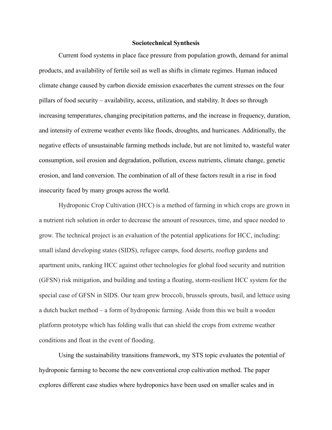## **Sociotechnical Synthesis**

Current food systems in place face pressure from population growth, demand for animal products, and availability of fertile soil as well as shifts in climate regimes. Human induced climate change caused by carbon dioxide emission exacerbates the current stresses on the four pillars of food security – availability, access, utilization, and stability. It does so through increasing temperatures, changing precipitation patterns, and the increase in frequency, duration, and intensity of extreme weather events like floods, droughts, and hurricanes. Additionally, the negative effects of unsustainable farming methods include, but are not limited to, wasteful water consumption, soil erosion and degradation, pollution, excess nutrients, climate change, genetic erosion, and land conversion. The combination of all of these factors result in a rise in food insecurity faced by many groups across the world.

Hydroponic Crop Cultivation (HCC) is a method of farming in which crops are grown in a nutrient rich solution in order to decrease the amount of resources, time, and space needed to grow. The technical project is an evaluation of the potential applications for HCC, including: small island developing states (SIDS), refugee camps, food deserts, rooftop gardens and apartment units, ranking HCC against other technologies for global food security and nutrition (GFSN) risk mitigation, and building and testing a floating, storm-resilient HCC system for the special case of GFSN in SIDS. Our team grew broccoli, brussels sprouts, basil, and lettuce using a dutch bucket method – a form of hydroponic farming. Aside from this we built a wooden platform prototype which has folding walls that can shield the crops from extreme weather conditions and float in the event of flooding.

Using the sustainability transitions framework, my STS topic evaluates the potential of hydroponic farming to become the new conventional crop cultivation method. The paper explores different case studies where hydroponics have been used on smaller scales and in